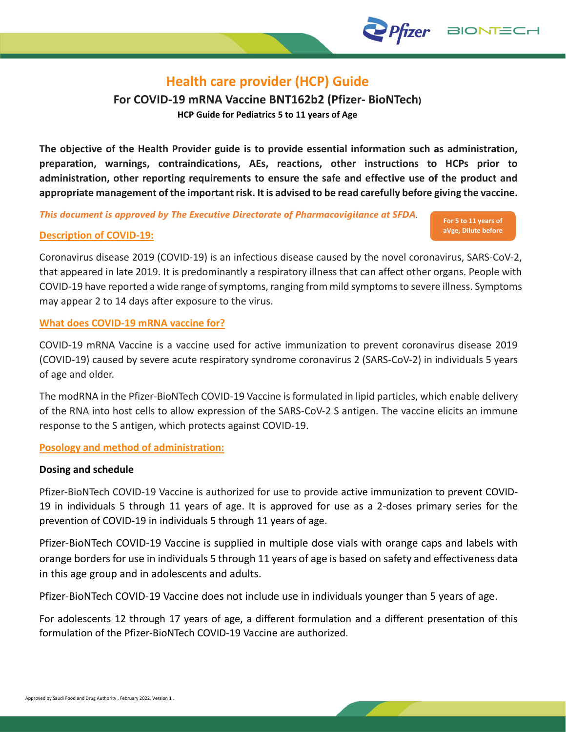# **Health care provider (HCP) Guide**

**For COVID-19 mRNA Vaccine BNT162b2 (Pfizer- BioNTech) HCP Guide for Pediatrics 5 to 11 years of Age**

**The objective of the Health Provider guide is to provide essential information such as administration, preparation, warnings, contraindications, AEs, reactions, other instructions to HCPs prior to administration, other reporting requirements to ensure the safe and effective use of the product and appropriate management of the important risk. It is advised to be read carefully before giving the vaccine.**

*This document is approved by The Executive Directorate of Pharmacovigilance at SFDA*.

## **Description of COVID-19:**

Coronavirus disease 2019 (COVID-19) is an infectious disease caused by the novel coronavirus, SARS-CoV-2, that appeared in late 2019. It is predominantly a respiratory illness that can affect other organs. People with COVID-19 have reported a wide range of symptoms, ranging from mild symptoms to severe illness. Symptoms may appear 2 to 14 days after exposure to the virus.

**For 5 to 11 years of aVge, Dilute before Use**

**BIONTED** 

*Pfizer* 

## **What does COVID-19 mRNA vaccine for?**

COVID-19 mRNA Vaccine is a vaccine used for active immunization to prevent coronavirus disease 2019 (COVID-19) caused by severe acute respiratory syndrome coronavirus 2 (SARS-CoV-2) in individuals 5 years of age and older.

The modRNA in the Pfizer-BioNTech COVID-19 Vaccine is formulated in lipid particles, which enable delivery of the RNA into host cells to allow expression of the SARS-CoV-2 S antigen. The vaccine elicits an immune response to the S antigen, which protects against COVID-19.

## **Posology and method of administration:**

#### **Dosing and schedule**

Pfizer-BioNTech COVID-19 Vaccine is authorized for use to provide active immunization to prevent COVID-19 in individuals 5 through 11 years of age. It is approved for use as a 2-doses primary series for the prevention of COVID-19 in individuals 5 through 11 years of age.

Pfizer-BioNTech COVID-19 Vaccine is supplied in multiple dose vials with orange caps and labels with orange borders for use in individuals 5 through 11 years of age is based on safety and effectiveness data in this age group and in adolescents and adults.

Pfizer-BioNTech COVID-19 Vaccine does not include use in individuals younger than 5 years of age.

For adolescents 12 through 17 years of age, a different formulation and a different presentation of this formulation of the Pfizer-BioNTech COVID-19 Vaccine are authorized.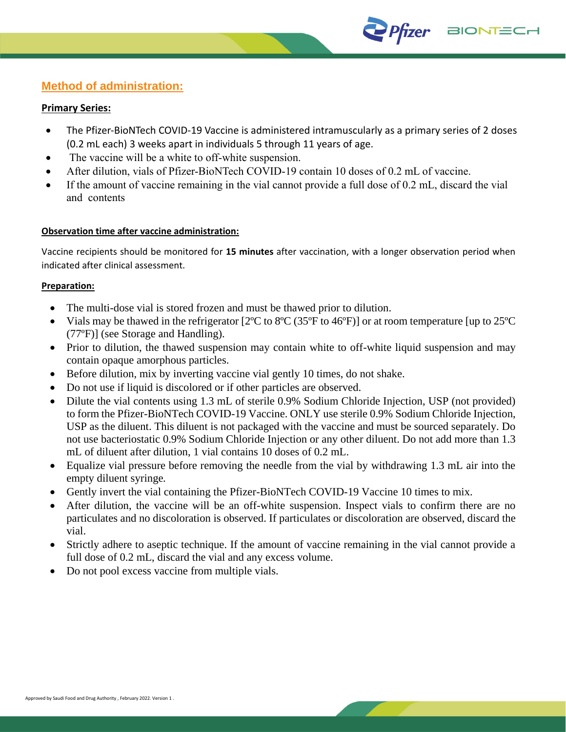## **Method of administration:**

#### **Primary Series:**

 The Pfizer-BioNTech COVID-19 Vaccine is administered intramuscularly as a primary series of 2 doses (0.2 mL each) 3 weeks apart in individuals 5 through 11 years of age.

Prizer BIONTECH

- The vaccine will be a white to off-white suspension.
- After dilution, vials of Pfizer-BioNTech COVID-19 contain 10 doses of 0.2 mL of vaccine.
- If the amount of vaccine remaining in the vial cannot provide a full dose of 0.2 mL, discard the vial and contents

## **Observation time after vaccine administration:**

Vaccine recipients should be monitored for **15 minutes** after vaccination, with a longer observation period when indicated after clinical assessment.

#### **Preparation:**

- The multi-dose vial is stored frozen and must be thawed prior to dilution.
- Vials may be thawed in the refrigerator [2ºC to 8ºC (35ºF to 46ºF)] or at room temperature [up to 25ºC (77ºF)] (see Storage and Handling).
- Prior to dilution, the thawed suspension may contain white to off-white liquid suspension and may contain opaque amorphous particles.
- Before dilution, mix by inverting vaccine vial gently 10 times, do not shake.
- Do not use if liquid is discolored or if other particles are observed.
- Dilute the vial contents using 1.3 mL of sterile 0.9% Sodium Chloride Injection, USP (not provided) to form the Pfizer-BioNTech COVID-19 Vaccine. ONLY use sterile 0.9% Sodium Chloride Injection, USP as the diluent. This diluent is not packaged with the vaccine and must be sourced separately. Do not use bacteriostatic 0.9% Sodium Chloride Injection or any other diluent. Do not add more than 1.3 mL of diluent after dilution, 1 vial contains 10 doses of 0.2 mL.
- Equalize vial pressure before removing the needle from the vial by withdrawing 1.3 mL air into the empty diluent syringe*.*
- Gently invert the vial containing the Pfizer-BioNTech COVID-19 Vaccine 10 times to mix.
- After dilution, the vaccine will be an off-white suspension. Inspect vials to confirm there are no particulates and no discoloration is observed. If particulates or discoloration are observed, discard the vial.
- Strictly adhere to aseptic technique. If the amount of vaccine remaining in the vial cannot provide a full dose of 0.2 mL, discard the vial and any excess volume.
- Do not pool excess vaccine from multiple vials.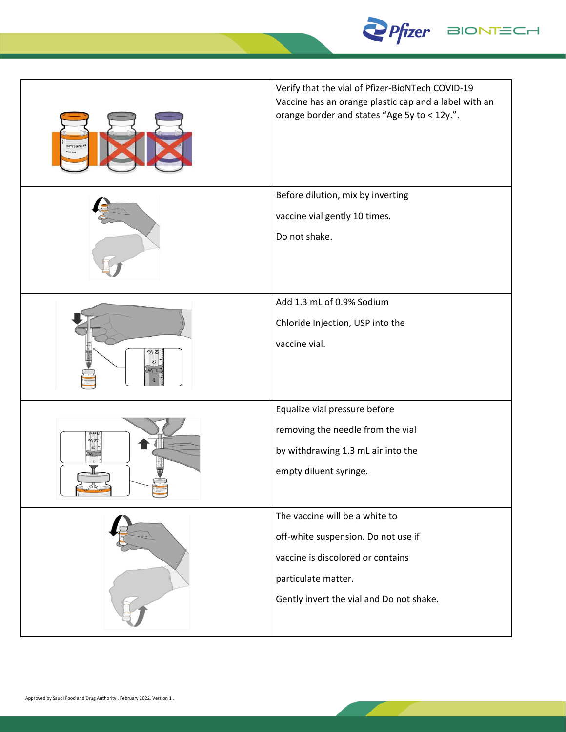

| Verify that the vial of Pfizer-BioNTech COVID-19<br>Vaccine has an orange plastic cap and a label with an<br>orange border and states "Age 5y to < 12y.".                     |
|-------------------------------------------------------------------------------------------------------------------------------------------------------------------------------|
| Before dilution, mix by inverting<br>vaccine vial gently 10 times.<br>Do not shake.                                                                                           |
| Add 1.3 mL of 0.9% Sodium<br>Chloride Injection, USP into the<br>vaccine vial.                                                                                                |
| Equalize vial pressure before<br>removing the needle from the vial<br>by withdrawing 1.3 mL air into the<br>empty diluent syringe.                                            |
| The vaccine will be a white to<br>off-white suspension. Do not use if<br>vaccine is discolored or contains<br>particulate matter.<br>Gently invert the vial and Do not shake. |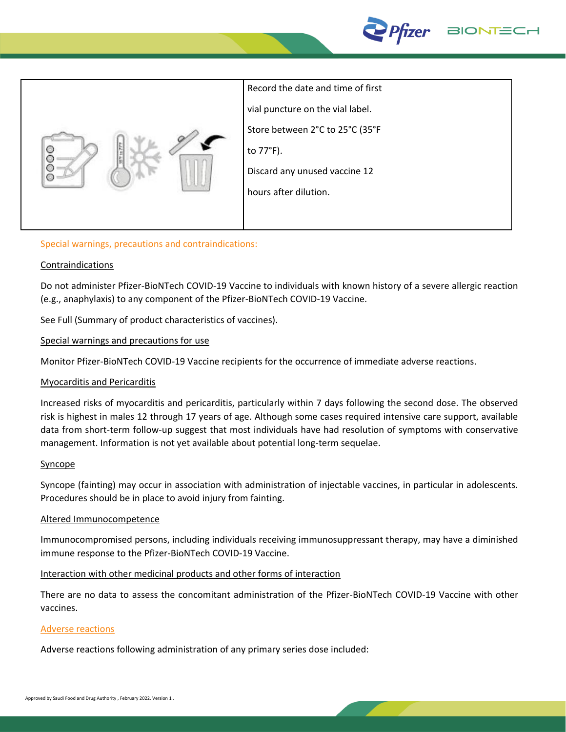



Record the date and time of first vial puncture on the vial label. Store between 2°C to 25°C (35°F to 77°F). Discard any unused vaccine 12 hours after dilution.

## Special warnings, precautions and contraindications:

#### Contraindications

Do not administer Pfizer-BioNTech COVID-19 Vaccine to individuals with known history of a severe allergic reaction (e.g., anaphylaxis) to any component of the Pfizer-BioNTech COVID-19 Vaccine.

See Full (Summary of product characteristics of vaccines).

#### Special warnings and precautions for use

Monitor Pfizer-BioNTech COVID-19 Vaccine recipients for the occurrence of immediate adverse reactions.

#### Myocarditis and Pericarditis

Increased risks of myocarditis and pericarditis, particularly within 7 days following the second dose. The observed risk is highest in males 12 through 17 years of age. Although some cases required intensive care support, available data from short-term follow-up suggest that most individuals have had resolution of symptoms with conservative management. Information is not yet available about potential long-term sequelae.

#### **Syncope**

Syncope (fainting) may occur in association with administration of injectable vaccines, in particular in adolescents. Procedures should be in place to avoid injury from fainting.

#### Altered Immunocompetence

Immunocompromised persons, including individuals receiving immunosuppressant therapy, may have a diminished immune response to the Pfizer-BioNTech COVID-19 Vaccine.

#### Interaction with other medicinal products and other forms of interaction

There are no data to assess the concomitant administration of the Pfizer-BioNTech COVID-19 Vaccine with other vaccines.

#### Adverse reactions

Adverse reactions following administration of any primary series dose included: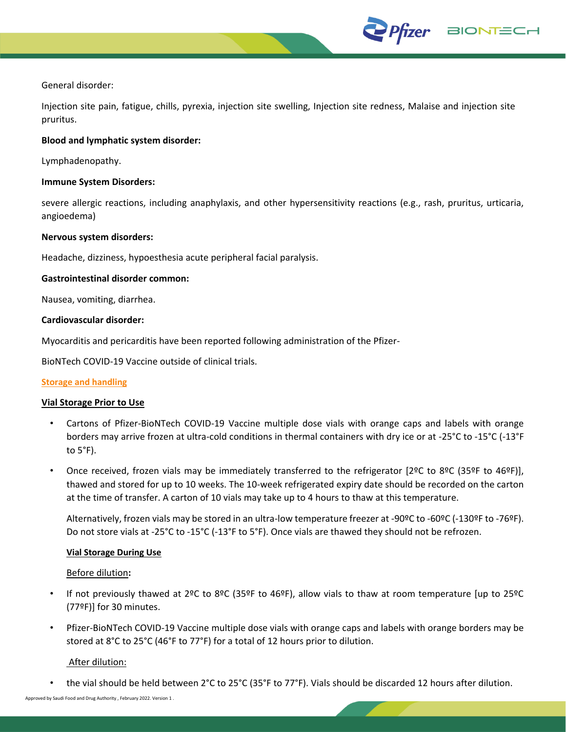

#### General disorder:

Injection site pain, fatigue, chills, pyrexia, injection site swelling, Injection site redness, Malaise and injection site pruritus.

#### **Blood and lymphatic system disorder:**

Lymphadenopathy.

#### **Immune System Disorders:**

severe allergic reactions, including anaphylaxis, and other hypersensitivity reactions (e.g., rash, pruritus, urticaria, angioedema)

#### **Nervous system disorders:**

Headache, dizziness, hypoesthesia acute peripheral facial paralysis.

#### **Gastrointestinal disorder common:**

Nausea, vomiting, diarrhea.

#### **Cardiovascular disorder:**

Myocarditis and pericarditis have been reported following administration of the Pfizer-

BioNTech COVID-19 Vaccine outside of clinical trials.

#### **Storage and handling**

#### **Vial Storage Prior to Use**

- Cartons of Pfizer-BioNTech COVID-19 Vaccine multiple dose vials with orange caps and labels with orange borders may arrive frozen at ultra-cold conditions in thermal containers with dry ice or at -25°C to -15°C (-13°F to 5°F).
- Once received, frozen vials may be immediately transferred to the refrigerator [2ºC to 8ºC (35ºF to 46ºF)], thawed and stored for up to 10 weeks. The 10-week refrigerated expiry date should be recorded on the carton at the time of transfer. A carton of 10 vials may take up to 4 hours to thaw at this temperature.

Alternatively, frozen vials may be stored in an ultra-low temperature freezer at -90ºC to -60ºC (-130ºF to -76ºF). Do not store vials at -25°C to -15°C (-13°F to 5°F). Once vials are thawed they should not be refrozen.

#### **Vial Storage During Use**

#### Before dilution**:**

- If not previously thawed at 2ºC to 8ºC (35ºF to 46ºF), allow vials to thaw at room temperature [up to 25ºC (77ºF)] for 30 minutes.
- Pfizer-BioNTech COVID-19 Vaccine multiple dose vials with orange caps and labels with orange borders may be stored at 8°C to 25°C (46°F to 77°F) for a total of 12 hours prior to dilution.

#### After dilution:

• the vial should be held between 2°C to 25°C (35°F to 77°F). Vials should be discarded 12 hours after dilution.